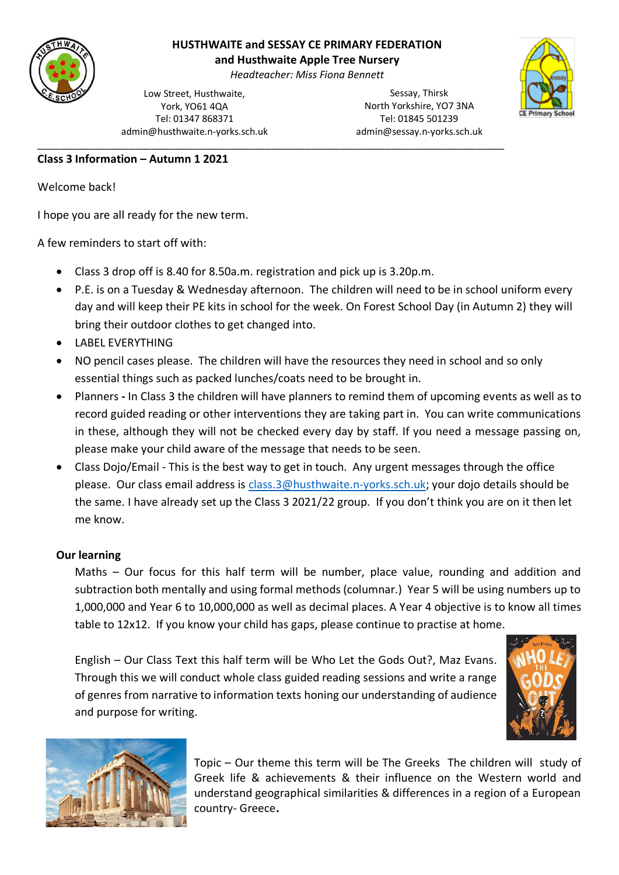

# **HUSTHWAITE and SESSAY CE PRIMARY FEDERATION**

**and Husthwaite Apple Tree Nursery**

*Headteacher: Miss Fiona Bennett*

\_\_\_\_\_\_\_\_\_\_\_\_\_\_\_\_\_\_\_\_\_\_\_\_\_\_\_\_\_\_\_\_\_\_\_\_\_\_\_\_\_\_\_\_\_\_\_\_\_\_\_\_\_\_\_\_\_\_\_\_\_\_\_\_\_\_\_\_\_\_\_\_\_\_\_\_\_\_\_\_\_\_

Low Street, Husthwaite, York, YO61 4QA Tel: 01347 868371 admin@husthwaite.n-yorks.sch.uk

Sessay, Thirsk North Yorkshire, YO7 3NA Tel: 01845 501239 admin@sessay.n-yorks.sch.uk



### **Class 3 Information – Autumn 1 2021**

Welcome back!

I hope you are all ready for the new term.

A few reminders to start off with:

- Class 3 drop off is 8.40 for 8.50a.m. registration and pick up is 3.20p.m.
- P.E. is on a Tuesday & Wednesday afternoon. The children will need to be in school uniform every day and will keep their PE kits in school for the week. On Forest School Day (in Autumn 2) they will bring their outdoor clothes to get changed into.
- LABEL EVERYTHING
- NO pencil cases please. The children will have the resources they need in school and so only essential things such as packed lunches/coats need to be brought in.
- Planners **-** In Class 3 the children will have planners to remind them of upcoming events as well as to record guided reading or other interventions they are taking part in. You can write communications in these, although they will not be checked every day by staff. If you need a message passing on, please make your child aware of the message that needs to be seen.
- Class Dojo/Email This is the best way to get in touch. Any urgent messages through the office please. Our class email address is [class.3@husthwaite.n-yorks.sch.uk;](mailto:class.3@husthwaite.n-yorks.sch.uk) your dojo details should be the same. I have already set up the Class 3 2021/22 group. If you don't think you are on it then let me know.

### **Our learning**

Maths – Our focus for this half term will be number, place value, rounding and addition and subtraction both mentally and using formal methods (columnar.) Year 5 will be using numbers up to 1,000,000 and Year 6 to 10,000,000 as well as decimal places. A Year 4 objective is to know all times table to 12x12. If you know your child has gaps, please continue to practise at home.

English – Our Class Text this half term will be Who Let the Gods Out?, Maz Evans. Through this we will conduct whole class guided reading sessions and write a range of genres from narrative to information texts honing our understanding of audience and purpose for writing.





Topic – Our theme this term will be The Greeks The children will study of Greek life & achievements & their influence on the Western world and understand geographical similarities & differences in a region of a European country- Greece**.**